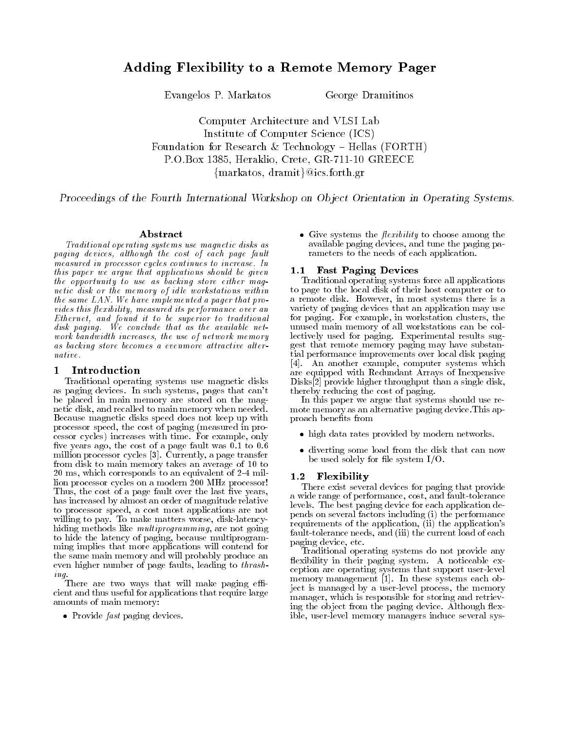# Adding Flexibility to a Remote Memory Pager

Evangelos P Markatos George Dramitinos

Computer Architecture and VLSI Lab Institute of Computer Science (ICS) Foundation for Research & Technology  $-$  Hellas (FORTH) reading the contract of the contract of the contract of the contract of the contract of the contract of the contract of the contract of the contract of the contract of the contract of the contract of the contract of the co  $\{mark$  markatos, dramit $\}$ @ics.forth.gr

Proceedings of the Fourth International Workshop on Object Orientation in Operating Systems.

### Abstract

Traditional operating systems use magnetic disks as paging devices, although the cost of each page fault measured in processor cycles continues to increase In this paper we argue that applications should be given the opportunity to use as backing store either magnetic disk or the memory of id le workstations within the same  $LAN.$  We have implemented a pager that provides this flexibility, measured its performance over an Ethernet, and found it to be superior to traditional disk paging. We conclude that as the available network bandwidth increases, the use of network memory as backing store becomes a evenmore attractive alternative.

### Introduction

Traditional operating systems use magnetic disks as paging devices in such systems pages that can - that be placed in main memory are stored on the mag netic disk, and recalled to main memory when needed. Because magnetic disks speed does not keep up with processor speed, the cost of paging (measured in processor cycles) increases with time. For example, only ve years ago the cost of a page fault was to million processor cycles and the page transfer of the page transfer of the page transfer of the page transfer o from disk to main memory takes an average of to ms which corresponds to an equivalent of 
mil lion processor cycles on a modern 
MHz processor Thus, the cost of a page fault over the last five years, has increased by almost an order of magnitude relative to processor speed, a cost most applications are not willing to pay. To make matters worse, disk-latencyhiding methods like *multiprogramming*, are not going to hide the latency of paging, because multiprogramming implies that more applications will contend for the same main memory and will probably produce an even higher number of page faults, leading to *thrash*-

 $ing.$  There are two ways that will make paging efficient and thus useful for applications that require large amounts of main memory

 $\bullet$  Provide *fast* paging devices.

• Give systems the *flexibility* to choose among the available paging devices, and tune the paging parameters to the needs of each application

### 1.1 Fast Paging Devices

Traditional operating systems force all applications to page to the local disk of their host computer or to a remote disk. However, in most systems there is a variety of paging devices that an application may use for paging. For example, in workstation clusters, the unused main memory of all workstations can be col lectively used for paging. Experimental results suggest that remote memory paging may have substan tial performance improvements over local disk paging  An another example computer systems which are equipped with Redundant Arrays of Inexpensive er through the single disks and the single disks and the single disks of the single disks and the single disks thereby reducing the cost of paging

In this paper we argue that systems should use re mote memory as an alternative paging device. This approach benets from

- high data rates provided by modern networks.
- diverting some load from the disk that can now be used solely for file system  $I/O$ .

#### $1.2$ Flexibility

There exist several devices for paging that provide a wide range of performance, cost, and fault-tolerance levels. The best paging device for each application depends on several factors including (i) the performance requirements of the application in the application in the application-term in the application-term in the applicationfault-tolerance needs, and (iii) the current load of each paging device, etc.

Traditional operating systems do not provide any flexibility in their paging system. A noticeable exception are operating systems that support userlevel memory management  In these systems each ob ject is managed by a user-level process, the memory manager, which is responsible for storing and retrieving the object from the paging device. Although flexible, user-level memory managers induce several sys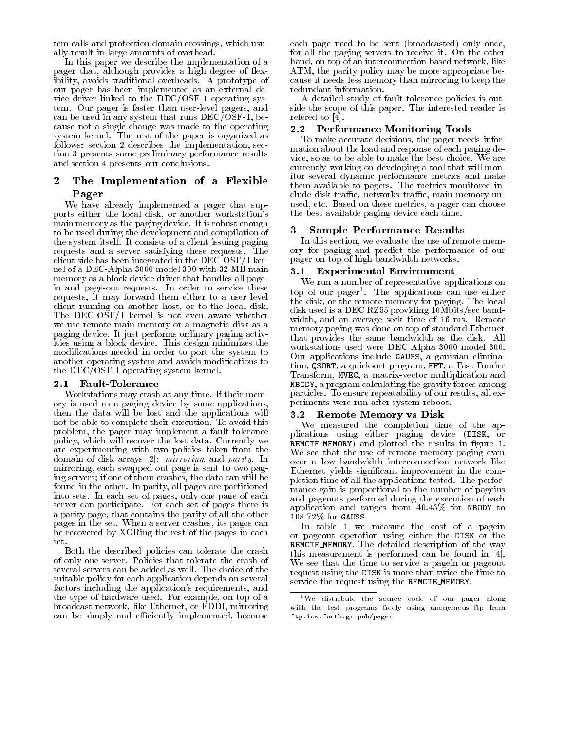tem calls and protection domain crossings, which usually result in large amounts of overhead

In this paper we describe the implementation of a pager that, although provides a high degree of flexibility, avoids traditional overheads. A prototype of our pager has been implemented as an external de vice driver linked to the DEC/OSF-1 operating system. Our pager is faster than user-level pagers, and can be used in any system that runs  $DEC/O\bar{S}F-1$ , because not a single change was made to the operating system kernel The rest of the paper is organized as follows: section 2 describes the implementation, section 3 presents some preliminary performance results and section 4 presents our conclusions.

## The Implementation of a Flexible Pager

We have already implemented a pager that sup ports either the local disk or another workstation-disk or another workstationmain memory as the paging device. It is robust enough to be used during the development and compilation of the system itself. It consists of a client issuing paging requests and a server satisfying these requests The client side has been integrated in the  $DEC-OSF/1$  kernel of a DEC-Alpha 3000 model 300 with 32 MB main memory as a block device driver that handles all page in and page-out requests. In order to service these requests it may forward them either to a user level client running on another host, or to the local disk. The DEC-OSF/1 kernel is not even aware whether we use remote main memory or a magnetic disk as a paging device It just performs ordinary paging activ ities using a block device This design minimizes the modifications needed in order to port the system to another operating system and avoids modifications to the  $DEC/OSF-1$  operating system kernel.

#### $2.1$ Fault-Tolerance

Workstations may crash at any time If their mem ory is used as a paging device by some applications then the data will be lost and the applications will not be able to complete their execution. To avoid this problem, the pager may implement a fault-tolerance policy which will recover the lost data Currently we are experimenting with two policies taken from the arrays are domain or and part of the state of the state  $\mathcal{G}$  and  $\mathcal{G}$ mirroring, each swapped out page is sent to two paging servers; if one of them crashes, the data can still be found in the other. In parity, all pages are partitioned into sets. In each set of pages, only one page of each server can participate. For each set of pages there is a parity page that contains the parity of all the other pages in the set. When a server crashes, its pages can be recovered by XORing the rest of the pages in each set

Both the described policies can tolerate the crash of only one server. Policies that tolerate the crash of several servers can be added as well. The choice of the suitable policy for each application depends on several factors including the application-s requirements and the type of hardware used. For example, on top of a broadcast network, like Ethernet, or FDDI, mirroring can be simply and efficiently implemented, because

each page need to be sent (broadcasted) only once, for all the paging servers to receive it On the other hand, on top of an interconnection based network, like ATM, the parity policy may be more appropriate because it needs less memory than mirroring to keep the redundant information

A detailed study of fault-tolerance policies is outside the scope of this paper. The interested reader is refered to 

#### $2.2^{\circ}$ Performance Monitoring Tools

To make accurate decisions the pager needs infor mation about the load and response of each paging de vice, so as to be able to make the best choice. We are currently working on developing a tool that will mon itor several dynamic performance metrics and make them available to pagers. The metrics monitored include disk traffic, networks traffic, main memory unused, etc. Based on these metrics, a pager can choose the best available paging device each time

#### Sample Performance Results 3

In this section, we evaluate the use of remote memory for paging and predict the performance of our pager on top of high bandwidth networks

### Experimental Environment

We run a number of representative applications on top of our pager The applications can use either the disk, or the remote memory for paging. The local disk used is a DEC RZ55 providing  $10 \text{Mbits/sec}$  bandwidth, and an average seek time of 16 ms. Remote memory paging was done on top of standard Ethernet that provides the same bandwidth as the disk All workstations used were DEC Alpha 3000 model 300. Our applications include GAUSS, a gaussian elimination, QSORT, a quicksort program, FFT, a Fast-Fourier Transform, MVEC, a matrix-vector multiplication and NBODY a program calculating the gravity forces among particles. To ensure repeatability of our results, all experiments were run after system reboot

### - Remote Memory vs Disk

We measured the completion time of the ap plications using either paging device (DISK, or REMOTE MEMORY) and plotted the results in figure 1. We see that the use of remote memory paging even over a low bandwidth interconnection network like Ethernet yields signicant improvement in the com pletion time of all the applications tested. The performance gain is proportional to the number of pageins and pageouts performed during the execution of each application and ranges from  $40.45\%$  for NBODY to  $108.72\%$  for GAUSS.

In table 1 we measure the cost of a pagein or pageout operation using either the DISK or the REMOTE\_MEMORY. The detailed description of the way this measurement is performed can be found in the found in the found in the found in the found in the found in  $\mathbb{R}$ We see that the time to service a pagein or pageout request using the DISK is more than twice the time to service the request using the REMOTE\_MEMORY.

We distribute the source code of our pager alongwith the test programs freely using anonymous ftp fromftpicsforthgrpub-pager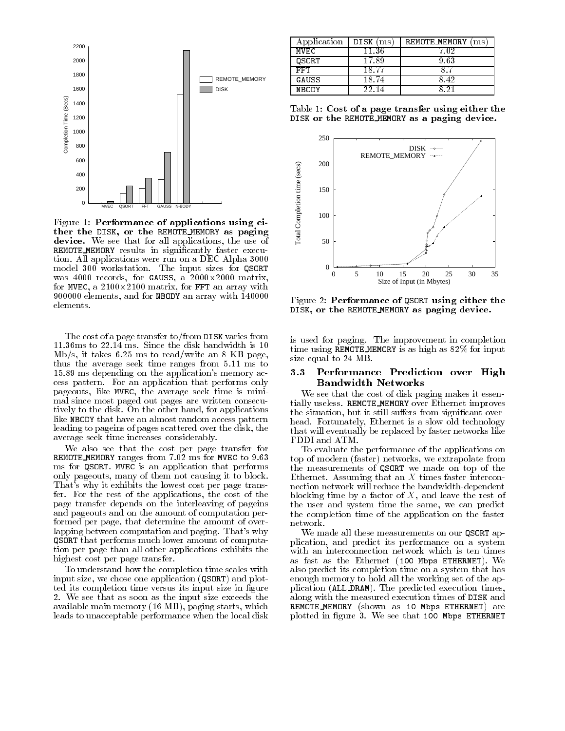

Figure 1: Performance of applications using either the DISK, or the REMOTE MEMORY as paging device-that for all applications that for all applications that for all applications the use of all applications the use of all applications that for all applications the use of all applications of all applications of all REMOTE MEMORY results in significantly faster execution. All applications were run on a DEC Alpha 3000 model 300 workstation. The input sizes for QSORT was  $4000$  records, for GAUSS, a  $2000 \times 2000$  matrix, for MVEC, a  $2100 \times 2100$  matrix, for FFT an array with 900000 elements, and for NBODY an array with 140000 elements.

The cost of a page transfer to/from DISK varies from  $11.36 \text{ms}$  to  $22.14 \text{ms}$ . Since the disk bandwidth is  $10$  $\mathrm{Mb/s}, \text{ it takes 6.25 ms to read/write an 8 KB page,}$ thus the average seek time ranges from  $5.11$  ms to ms depending on the application-s memory ac cess pattern. For an application that performs only pageouts, like MVEC, the average seek time is minimal since most paged out pages are written consecu tively to the disk. On the other hand, for applications like NBODY that have an almost random access pattern leading to pageins of pages scattered over the disk, the average seek time increases considerably

We also see that the cost per page transfer for REMOTE\_MEMORY ranges from  $7.02$  ms for MVEC to  $9.63$ ms for QSORT. MVEC is an application that performs only pageouts, many of them not causing it to block. That-in-cost why it exhibits the lowest cost per page transformation of the lowest cost per page transformation fer. For the rest of the applications, the cost of the page transfer depends on the interleaving of pageins and pageouts and on the amount of computation per formed per page, that determine the amount of overlapping between computation and paging That-s why QSORT that performs much lower amount of computa tion per page than all other applications exhibits the highest cost per page transfer

To understand how the completion time scales with input size, we chose one application (QSORT) and plotted its completion time versus its input size in figure We see that as soon as the input size exceeds the available main memory (16 MB), paging starts, which leads to unacceptable performance when the local disk

| Application  | DISK (ms) | REMOTE_MEMORY<br>$\rm ms$ |
|--------------|-----------|---------------------------|
| MVEC         | 11.36     | - 02                      |
| <b>OSORT</b> | 17.89     | 9.63                      |
| FFT          | 18.7'     |                           |
| GAUSS        | 18 74     | 842                       |
| NBODY        | 77 בי     |                           |

Table 1: Cost of a page transfer using either the DISK or the REMOTE\_MEMORY as a paging device.



Figure 2: Performance of QSORT using either the DISK, or the REMOTE\_MEMORY as paging device.

is used for paging. The improvement in completion time using REMOTE\_MEMORY is as high as  $82\%$  for input size equal to  $24 \text{ MB}$ .

#### $\bf 3.3$  Performance Prediction over High Bandwidth Networks

We see that the cost of disk paging makes it essen tially useless. REMOTE\_MEMORY over Ethernet improves the situation, but it still suffers from significant overhead. Fortunately, Ethernet is a slow old technology that will eventually be replaced by faster networks like FDDI and ATM

To evaluate the performance of the applications on top of modern (faster) networks, we extrapolate from the measurements of QSORT we made on top of the Ethernet. Assuming that an  $X$  times faster interconnection network will reduce the bandwidth-dependent blocking time by a factor of  $X$ , and leave the rest of the user and system time the same, we can predict the completion time of the application on the faster network.

We made all these measurements on our QSORT ap plication, and predict its performance on a system with an interconnection network which is ten times as fast as the Ethernet  $(100$  Mbps ETHERNET). We also predict its completion time on a system that has enough memory to hold all the working set of the ap plication (ALL DRAM). The predicted execution times, along with the measured execution times of DISK and REMOTE\_MEMORY (shown as 10 Mbps ETHERNET) are plotted in figure 3. We see that 100 Mbps ETHERNET